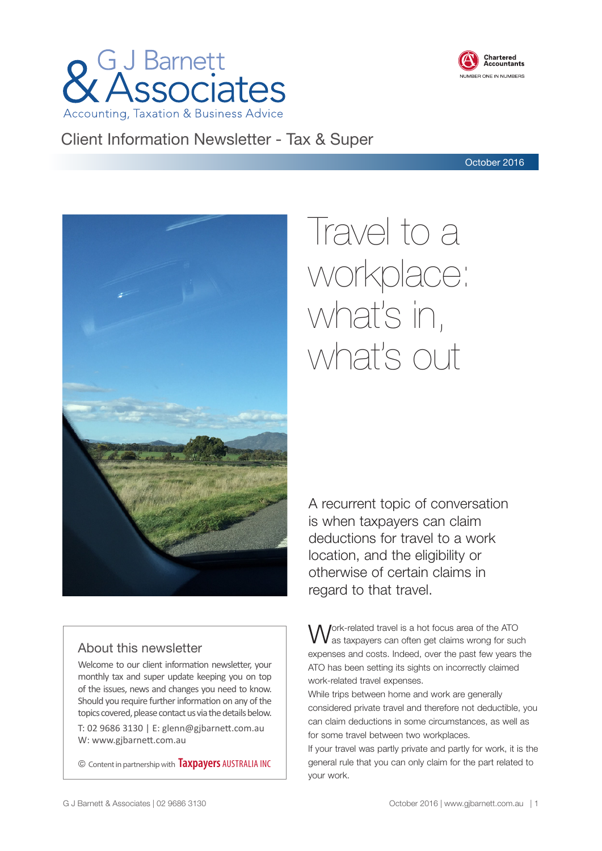



# Client Information Newsletter - Tax & Super

October 2016



# Travel to a workplace: what's in, what's out

A recurrent topic of conversation is when taxpayers can claim deductions for travel to a work location, and the eligibility or otherwise of certain claims in regard to that travel.

# About this newsletter

Welcome to our client information newsletter, your monthly tax and super update keeping you on top of the issues, news and changes you need to know. Should you require further information on any of the topics covered, please contact us via the details below. T: 02 9686 3130 | E: glenn@gjbarnett.com.au

W: www.gjbarnett.com.au

© Content in partnership with **Taxpayers** AUSTRALIA INC

Jork-related travel is a hot focus area of the ATO as taxpayers can often get claims wrong for such expenses and costs. Indeed, over the past few years the ATO has been setting its sights on incorrectly claimed work-related travel expenses.

While trips between home and work are generally considered private travel and therefore not deductible, you can claim deductions in some circumstances, as well as for some travel between two workplaces.

If your travel was partly private and partly for work, it is the general rule that you can only claim for the part related to your work.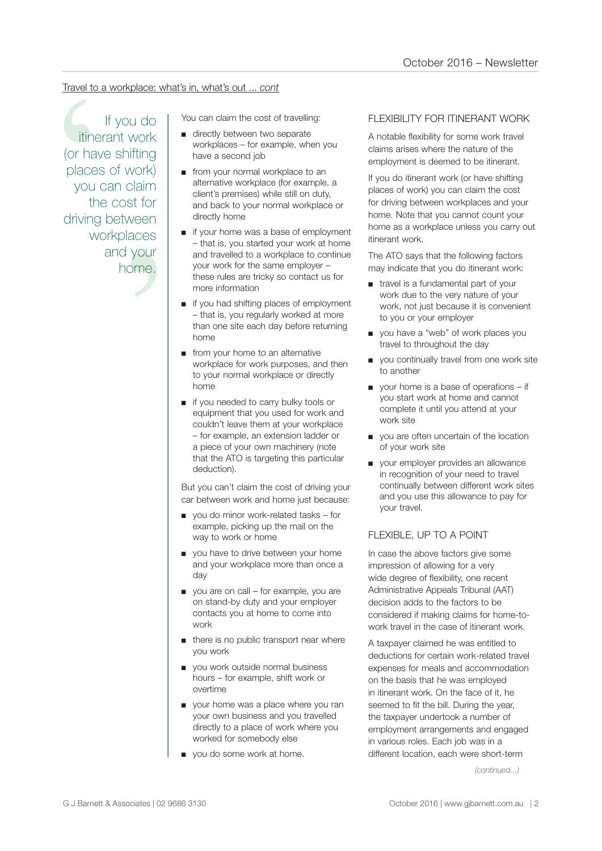# Travel to a workplace: what's in, what's out ... *cont*

claim<br>st for<br>veen<br>aces<br>your<br>nme.<br>me. Travel to a workplace: what's in, what's out ... cont<br>
If you do<br>
Triends the cost of travelling:<br>
Triends work the cost of travelling<br>
(or have shifting<br>
places of work)<br>
you can claim<br>
the cost for<br>
workplaces<br>
workplace If you do itinerant work (or have shifting places of work) you can claim the cost for driving between workplaces and your home.

- directly between two separate workplaces – for example, when you have a second job
- from your normal workplace to an alternative workplace (for example, a client's premises) while still on duty, and back to your normal workplace or directly home
- if your home was a base of employment – that is, you started your work at home and travelled to a workplace to continue your work for the same employer – these rules are tricky so contact us for more information
- if you had shifting places of employment – that is, you regularly worked at more than one site each day before returning home
- from your home to an alternative workplace for work purposes, and then to your normal workplace or directly home
- if you needed to carry bulky tools or equipment that you used for work and couldn't leave them at your workplace – for example, an extension ladder or a piece of your own machinery (note that the ATO is targeting this particular deduction).

But you can't claim the cost of driving your car between work and home just because:

- you do minor work-related tasks for example, picking up the mail on the way to work or home
- you have to drive between your home and your workplace more than once a day
- you are on call for example, you are on stand-by duty and your employer contacts you at home to come into work
- there is no public transport near where you work
- you work outside normal business hours – for example, shift work or overtime
- your home was a place where you ran your own business and you travelled directly to a place of work where you worked for somebody else
- you do some work at home.

# FLEXIBILITY FOR ITINERANT WORK

A notable flexibility for some work travel claims arises where the nature of the employment is deemed to be itinerant.

If you do itinerant work (or have shifting places of work) you can claim the cost for driving between workplaces and your home. Note that you cannot count your home as a workplace unless you carry out itinerant work.

The ATO says that the following factors may indicate that you do itinerant work:

- travel is a fundamental part of your work due to the very nature of your work, not just because it is convenient to you or your employer
- you have a "web" of work places you travel to throughout the day
- you continually travel from one work site to another
- your home is a base of operations if you start work at home and cannot complete it until you attend at your work site
- you are often uncertain of the location of your work site
- your employer provides an allowance in recognition of your need to travel continually between different work sites and you use this allowance to pay for your travel.

### FLEXIBLE, UP TO A POINT

In case the above factors give some impression of allowing for a very wide degree of flexibility, one recent Administrative Appeals Tribunal (AAT) decision adds to the factors to be considered if making claims for home-towork travel in the case of itinerant work.

A taxpayer claimed he was entitled to deductions for certain work-related travel expenses for meals and accommodation on the basis that he was employed in itinerant work. On the face of it, he seemed to fit the bill. During the year, the taxpayer undertook a number of employment arrangements and engaged in various roles. Each job was in a different location, each were short-term

*(continued...)*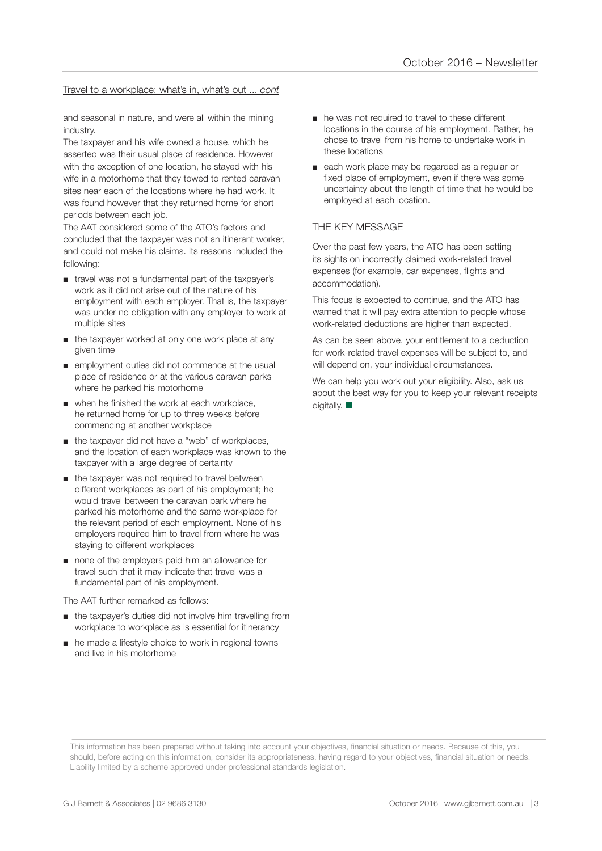#### Travel to a workplace: what's in, what's out ... *cont*

and seasonal in nature, and were all within the mining industry.

The taxpayer and his wife owned a house, which he asserted was their usual place of residence. However with the exception of one location, he stayed with his wife in a motorhome that they towed to rented caravan sites near each of the locations where he had work. It was found however that they returned home for short periods between each job.

The AAT considered some of the ATO's factors and concluded that the taxpayer was not an itinerant worker, and could not make his claims. Its reasons included the following:

- travel was not a fundamental part of the taxpayer's work as it did not arise out of the nature of his employment with each employer. That is, the taxpayer was under no obligation with any employer to work at multiple sites
- the taxpayer worked at only one work place at any given time
- employment duties did not commence at the usual place of residence or at the various caravan parks where he parked his motorhome
- when he finished the work at each workplace, he returned home for up to three weeks before commencing at another workplace
- the taxpayer did not have a "web" of workplaces, and the location of each workplace was known to the taxpayer with a large degree of certainty
- the taxpayer was not required to travel between different workplaces as part of his employment; he would travel between the caravan park where he parked his motorhome and the same workplace for the relevant period of each employment. None of his employers required him to travel from where he was staying to different workplaces
- none of the employers paid him an allowance for travel such that it may indicate that travel was a fundamental part of his employment.

The AAT further remarked as follows:

- the taxpayer's duties did not involve him travelling from workplace to workplace as is essential for itinerancy
- he made a lifestyle choice to work in regional towns and live in his motorhome
- he was not required to travel to these different locations in the course of his employment. Rather, he chose to travel from his home to undertake work in these locations
- each work place may be regarded as a regular or fixed place of employment, even if there was some uncertainty about the length of time that he would be employed at each location.

#### THE KEY MESSAGE

Over the past few years, the ATO has been setting its sights on incorrectly claimed work-related travel expenses (for example, car expenses, flights and accommodation).

This focus is expected to continue, and the ATO has warned that it will pay extra attention to people whose work-related deductions are higher than expected.

As can be seen above, your entitlement to a deduction for work-related travel expenses will be subject to, and will depend on, your individual circumstances.

We can help you work out your eligibility. Also, ask us about the best way for you to keep your relevant receipts digitally.  $\blacksquare$ 

This information has been prepared without taking into account your objectives, financial situation or needs. Because of this, you should, before acting on this information, consider its appropriateness, having regard to your objectives, financial situation or needs. Liability limited by a scheme approved under professional standards legislation.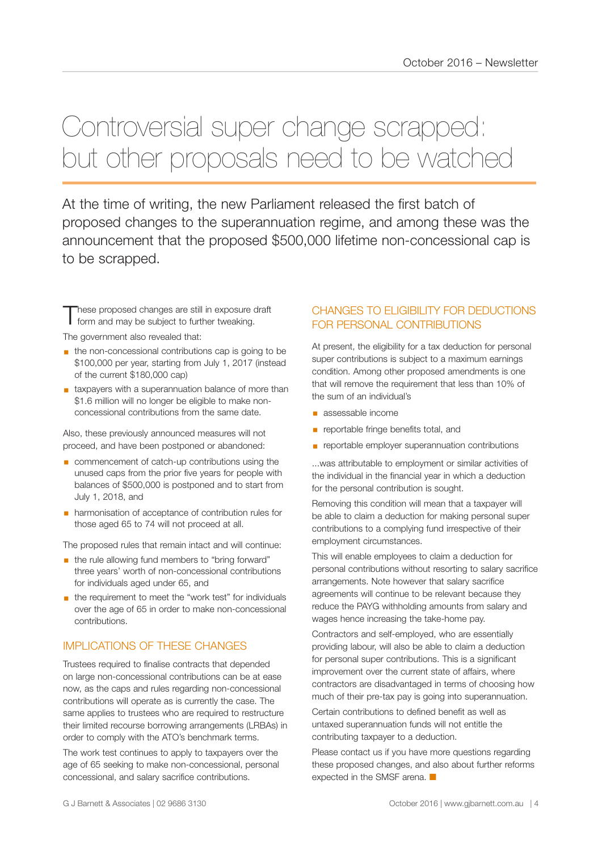# Controversial super change scrapped: but other proposals need to be watched

At the time of writing, the new Parliament released the first batch of proposed changes to the superannuation regime, and among these was the announcement that the proposed \$500,000 lifetime non-concessional cap is to be scrapped.

These proposed changes are still in exposure draft<br>
form and may be subject to further tweaking.

The government also revealed that:

- the non-concessional contributions cap is going to be \$100,000 per year, starting from July 1, 2017 (instead of the current \$180,000 cap)
- taxpayers with a superannuation balance of more than \$1.6 million will no longer be eligible to make nonconcessional contributions from the same date.

Also, these previously announced measures will not proceed, and have been postponed or abandoned:

- commencement of catch-up contributions using the unused caps from the prior five years for people with balances of \$500,000 is postponed and to start from July 1, 2018, and
- harmonisation of acceptance of contribution rules for those aged 65 to 74 will not proceed at all.

The proposed rules that remain intact and will continue:

- **■** the rule allowing fund members to "bring forward" three years' worth of non-concessional contributions for individuals aged under 65, and
- the requirement to meet the "work test" for individuals over the age of 65 in order to make non-concessional contributions.

# IMPLICATIONS OF THESE CHANGES

Trustees required to finalise contracts that depended on large non-concessional contributions can be at ease now, as the caps and rules regarding non-concessional contributions will operate as is currently the case. The same applies to trustees who are required to restructure their limited recourse borrowing arrangements (LRBAs) in order to comply with the ATO's benchmark terms.

The work test continues to apply to taxpayers over the age of 65 seeking to make non-concessional, personal concessional, and salary sacrifice contributions.

# CHANGES TO ELIGIBILITY FOR DEDUCTIONS FOR PERSONAL CONTRIBUTIONS

At present, the eligibility for a tax deduction for personal super contributions is subject to a maximum earnings condition. Among other proposed amendments is one that will remove the requirement that less than 10% of the sum of an individual's

- assessable income
- **•** reportable fringe benefits total, and
- **EX reportable employer superannuation contributions**

...was attributable to employment or similar activities of the individual in the financial year in which a deduction for the personal contribution is sought.

Removing this condition will mean that a taxpayer will be able to claim a deduction for making personal super contributions to a complying fund irrespective of their employment circumstances.

This will enable employees to claim a deduction for personal contributions without resorting to salary sacrifice arrangements. Note however that salary sacrifice agreements will continue to be relevant because they reduce the PAYG withholding amounts from salary and wages hence increasing the take-home pay.

Contractors and self-employed, who are essentially providing labour, will also be able to claim a deduction for personal super contributions. This is a significant improvement over the current state of affairs, where contractors are disadvantaged in terms of choosing how much of their pre-tax pay is going into superannuation.

Certain contributions to defined benefit as well as untaxed superannuation funds will not entitle the contributing taxpayer to a deduction.

Please contact us if you have more questions regarding these proposed changes, and also about further reforms expected in the SMSF arena.  $\blacksquare$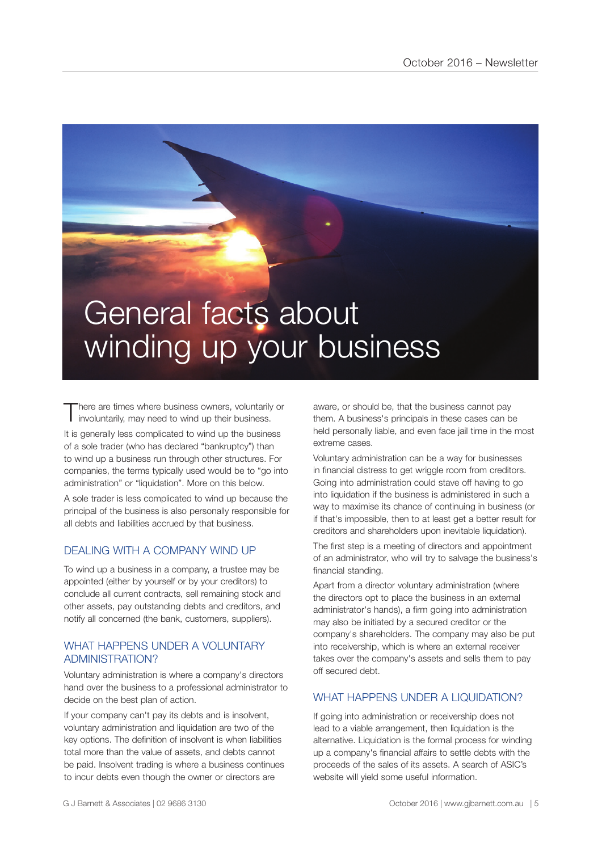# General facts about winding up your business

There are times where business owners, voluntarily or involuntarily, may need to wind up their business.

It is generally less complicated to wind up the business of a sole trader (who has declared "bankruptcy") than to wind up a business run through other structures. For companies, the terms typically used would be to "go into administration" or "liquidation". More on this below.

A sole trader is less complicated to wind up because the principal of the business is also personally responsible for all debts and liabilities accrued by that business.

# DEALING WITH A COMPANY WIND UP

To wind up a business in a company, a trustee may be appointed (either by yourself or by your creditors) to conclude all current contracts, sell remaining stock and other assets, pay outstanding debts and creditors, and notify all concerned (the bank, customers, suppliers).

### WHAT HAPPENS UNDER A VOLUNTARY ADMINISTRATION?

Voluntary administration is where a company's directors hand over the business to a professional administrator to decide on the best plan of action.

If your company can't pay its debts and is insolvent, voluntary administration and liquidation are two of the key options. The definition of insolvent is when liabilities total more than the value of assets, and debts cannot be paid. Insolvent trading is where a business continues to incur debts even though the owner or directors are

aware, or should be, that the business cannot pay them. A business's principals in these cases can be held personally liable, and even face jail time in the most extreme cases.

Voluntary administration can be a way for businesses in financial distress to get wriggle room from creditors. Going into administration could stave off having to go into liquidation if the business is administered in such a way to maximise its chance of continuing in business (or if that's impossible, then to at least get a better result for creditors and shareholders upon inevitable liquidation).

The first step is a meeting of directors and appointment of an administrator, who will try to salvage the business's financial standing.

Apart from a director voluntary administration (where the directors opt to place the business in an external administrator's hands), a firm going into administration may also be initiated by a secured creditor or the company's shareholders. The company may also be put into receivership, which is where an external receiver takes over the company's assets and sells them to pay off secured debt.

# WHAT HAPPENS UNDER A LIQUIDATION?

If going into administration or receivership does not lead to a viable arrangement, then liquidation is the alternative. Liquidation is the formal process for winding up a company's financial affairs to settle debts with the proceeds of the sales of its assets. A search of ASIC's website will yield some useful information.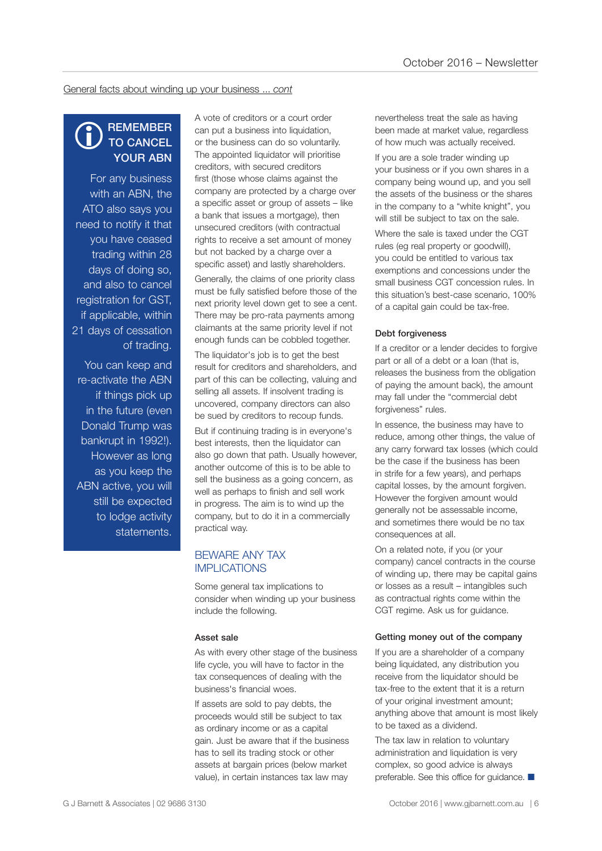General facts about winding up your business ... *cont*

#### **REMEMBER** TO CANCEL YOUR ABN  $\bigcirc$

For any business with an ABN, the ATO also says you need to notify it that you have ceased trading within 28 days of doing so, and also to cancel registration for GST, if applicable, within 21 days of cessation of trading.

You can keep and re-activate the ABN if things pick up in the future (even Donald Trump was bankrupt in 1992!). However as long as you keep the ABN active, you will still be expected to lodge activity statements.

A vote of creditors or a court order can put a business into liquidation, or the business can do so voluntarily. The appointed liquidator will prioritise creditors, with secured creditors first (those whose claims against the company are protected by a charge over a specific asset or group of assets – like a bank that issues a mortgage), then unsecured creditors (with contractual rights to receive a set amount of money but not backed by a charge over a specific asset) and lastly shareholders.

Generally, the claims of one priority class must be fully satisfied before those of the next priority level down get to see a cent. There may be pro-rata payments among claimants at the same priority level if not enough funds can be cobbled together.

The liquidator's job is to get the best result for creditors and shareholders, and part of this can be collecting, valuing and selling all assets. If insolvent trading is uncovered, company directors can also be sued by creditors to recoup funds.

But if continuing trading is in everyone's best interests, then the liquidator can also go down that path. Usually however, another outcome of this is to be able to sell the business as a going concern, as well as perhaps to finish and sell work in progress. The aim is to wind up the company, but to do it in a commercially practical way.

### BEWARE ANY TAX IMPLICATIONS

Some general tax implications to consider when winding up your business include the following.

#### Asset sale

As with every other stage of the business life cycle, you will have to factor in the tax consequences of dealing with the business's financial woes.

If assets are sold to pay debts, the proceeds would still be subject to tax as ordinary income or as a capital gain. Just be aware that if the business has to sell its trading stock or other assets at bargain prices (below market value), in certain instances tax law may

nevertheless treat the sale as having been made at market value, regardless of how much was actually received.

If you are a sole trader winding up your business or if you own shares in a company being wound up, and you sell the assets of the business or the shares in the company to a "white knight", you will still be subject to tax on the sale.

Where the sale is taxed under the CGT rules (eg real property or goodwill), you could be entitled to various tax exemptions and concessions under the small business CGT concession rules. In this situation's best-case scenario, 100% of a capital gain could be tax-free.

#### Debt forgiveness

If a creditor or a lender decides to forgive part or all of a debt or a loan (that is, releases the business from the obligation of paying the amount back), the amount may fall under the "commercial debt forgiveness" rules.

In essence, the business may have to reduce, among other things, the value of any carry forward tax losses (which could be the case if the business has been in strife for a few years), and perhaps capital losses, by the amount forgiven. However the forgiven amount would generally not be assessable income, and sometimes there would be no tax consequences at all.

On a related note, if you (or your company) cancel contracts in the course of winding up, there may be capital gains or losses as a result – intangibles such as contractual rights come within the CGT regime. Ask us for guidance.

#### Getting money out of the company

If you are a shareholder of a company being liquidated, any distribution you receive from the liquidator should be tax-free to the extent that it is a return of your original investment amount; anything above that amount is most likely to be taxed as a dividend.

The tax law in relation to voluntary administration and liquidation is very complex, so good advice is always preferable. See this office for guidance.  $\blacksquare$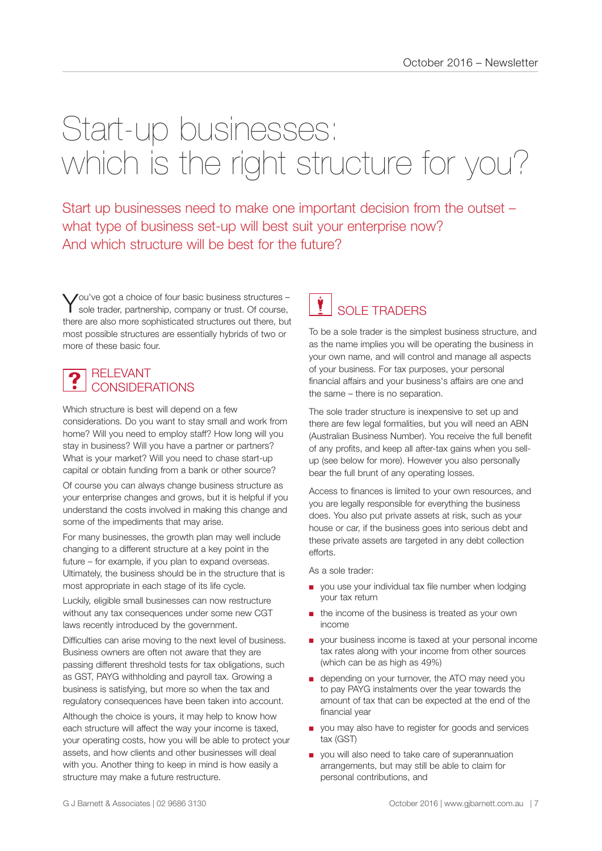# Start-up businesses: which is the right structure for you?

Start up businesses need to make one important decision from the outset – what type of business set-up will best suit your enterprise now? And which structure will be best for the future?

You've got a choice of four basic business structures -<br>Sole trader, partnership, company or trust. Of course, there are also more sophisticated structures out there, but most possible structures are essentially hybrids of two or more of these basic four.

#### RELEVANT CONSIDERATIONS  $\ddot{\textbf{?}}$

Which structure is best will depend on a few considerations. Do you want to stay small and work from home? Will you need to employ staff? How long will you stay in business? Will you have a partner or partners? What is your market? Will you need to chase start-up capital or obtain funding from a bank or other source?

Of course you can always change business structure as your enterprise changes and grows, but it is helpful if you understand the costs involved in making this change and some of the impediments that may arise.

For many businesses, the growth plan may well include changing to a different structure at a key point in the future – for example, if you plan to expand overseas. Ultimately, the business should be in the structure that is most appropriate in each stage of its life cycle.

Luckily, eligible small businesses can now restructure without any tax consequences under some new CGT laws recently introduced by the government.

Difficulties can arise moving to the next level of business. Business owners are often not aware that they are passing different threshold tests for tax obligations, such as GST, PAYG withholding and payroll tax. Growing a business is satisfying, but more so when the tax and regulatory consequences have been taken into account.

Although the choice is yours, it may help to know how each structure will affect the way your income is taxed, your operating costs, how you will be able to protect your assets, and how clients and other businesses will deal with you. Another thing to keep in mind is how easily a structure may make a future restructure.

# SOLE TRADERS **v**

To be a sole trader is the simplest business structure, and as the name implies you will be operating the business in your own name, and will control and manage all aspects of your business. For tax purposes, your personal financial affairs and your business's affairs are one and the same – there is no separation.

The sole trader structure is inexpensive to set up and there are few legal formalities, but you will need an ABN (Australian Business Number). You receive the full benefit of any profits, and keep all after-tax gains when you sellup (see below for more). However you also personally bear the full brunt of any operating losses.

Access to finances is limited to your own resources, and you are legally responsible for everything the business does. You also put private assets at risk, such as your house or car, if the business goes into serious debt and these private assets are targeted in any debt collection efforts.

As a sole trader:

- you use your individual tax file number when lodging your tax return
- the income of the business is treated as your own income
- your business income is taxed at your personal income tax rates along with your income from other sources (which can be as high as 49%)
- depending on your turnover, the ATO may need you to pay PAYG instalments over the year towards the amount of tax that can be expected at the end of the financial year
- you may also have to register for goods and services tax (GST)
- you will also need to take care of superannuation arrangements, but may still be able to claim for personal contributions, and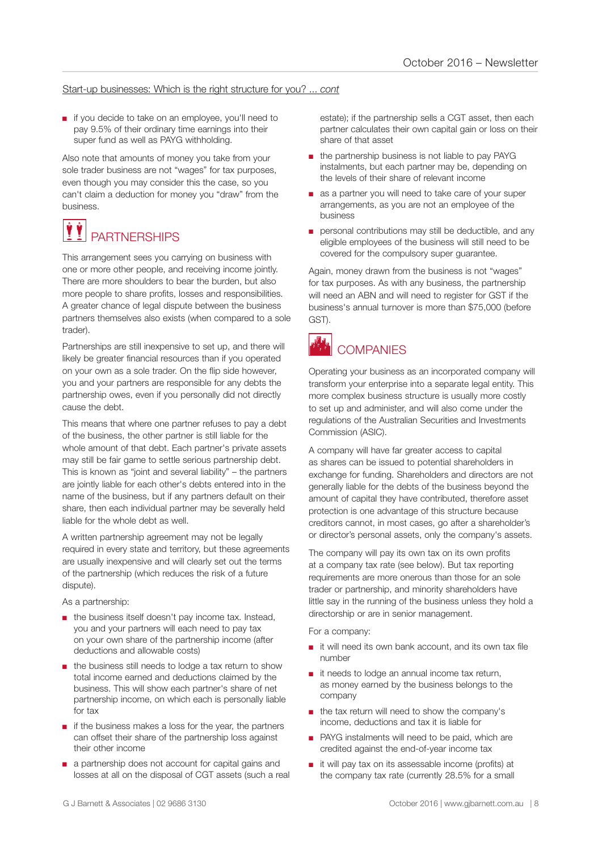#### Start-up businesses: Which is the right structure for you? ... *cont*

■ if you decide to take on an employee, you'll need to pay 9.5% of their ordinary time earnings into their super fund as well as PAYG withholding.

Also note that amounts of money you take from your sole trader business are not "wages" for tax purposes, even though you may consider this the case, so you can't claim a deduction for money you "draw" from the business.

### **PARTNERSHIPS** VÝ

This arrangement sees you carrying on business with one or more other people, and receiving income jointly. There are more shoulders to bear the burden, but also more people to share profits, losses and responsibilities. A greater chance of legal dispute between the business partners themselves also exists (when compared to a sole trader).

Partnerships are still inexpensive to set up, and there will likely be greater financial resources than if you operated on your own as a sole trader. On the flip side however, you and your partners are responsible for any debts the partnership owes, even if you personally did not directly cause the debt.

This means that where one partner refuses to pay a debt of the business, the other partner is still liable for the whole amount of that debt. Each partner's private assets may still be fair game to settle serious partnership debt. This is known as "joint and several liability" – the partners are jointly liable for each other's debts entered into in the name of the business, but if any partners default on their share, then each individual partner may be severally held liable for the whole debt as well.

A written partnership agreement may not be legally required in every state and territory, but these agreements are usually inexpensive and will clearly set out the terms of the partnership (which reduces the risk of a future dispute).

As a partnership:

- the business itself doesn't pay income tax. Instead, you and your partners will each need to pay tax on your own share of the partnership income (after deductions and allowable costs)
- the business still needs to lodge a tax return to show total income earned and deductions claimed by the business. This will show each partner's share of net partnership income, on which each is personally liable for tax
- if the business makes a loss for the year, the partners can offset their share of the partnership loss against their other income
- a partnership does not account for capital gains and losses at all on the disposal of CGT assets (such a real

estate); if the partnership sells a CGT asset, then each partner calculates their own capital gain or loss on their share of that asset

- the partnership business is not liable to pay PAYG instalments, but each partner may be, depending on the levels of their share of relevant income
- as a partner you will need to take care of your super arrangements, as you are not an employee of the business
- personal contributions may still be deductible, and any eligible employees of the business will still need to be covered for the compulsory super guarantee.

Again, money drawn from the business is not "wages" for tax purposes. As with any business, the partnership will need an ABN and will need to register for GST if the business's annual turnover is more than \$75,000 (before GST).



# **COMPANIES**

Operating your business as an incorporated company will transform your enterprise into a separate legal entity. This more complex business structure is usually more costly to set up and administer, and will also come under the regulations of the Australian Securities and Investments Commission (ASIC).

A company will have far greater access to capital as shares can be issued to potential shareholders in exchange for funding. Shareholders and directors are not generally liable for the debts of the business beyond the amount of capital they have contributed, therefore asset protection is one advantage of this structure because creditors cannot, in most cases, go after a shareholder's or director's personal assets, only the company's assets.

The company will pay its own tax on its own profits at a company tax rate (see below). But tax reporting requirements are more onerous than those for an sole trader or partnership, and minority shareholders have little say in the running of the business unless they hold a directorship or are in senior management.

For a company:

- it will need its own bank account, and its own tax file number
- it needs to lodge an annual income tax return, as money earned by the business belongs to the company
- the tax return will need to show the company's income, deductions and tax it is liable for
- PAYG instalments will need to be paid, which are credited against the end-of-year income tax
- it will pay tax on its assessable income (profits) at the company tax rate (currently 28.5% for a small